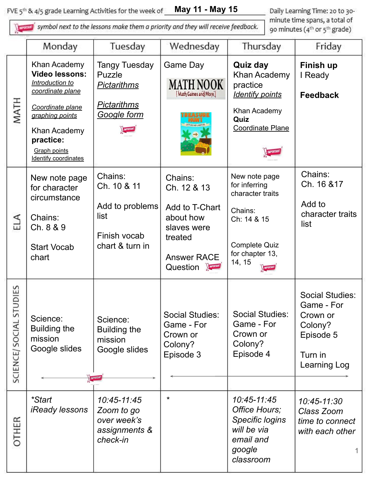**May 11 - May 15** FVE 5<sup>th</sup> & 4/5 grade Learning Activities for the week of

symbol next to the lessons make them a priority and they will receive feedback.

Daily Learning Time: 20 to 30minute time spans, a total of 90 minutes (4<sup>th</sup> or 5<sup>th</sup> grade)

|                        | Monday                                                                                                                                                                                                 | Tuesday                                                                                          | Wednesday                                                                                                                | Thursday                                                                                                                          | Friday                                                                                              |
|------------------------|--------------------------------------------------------------------------------------------------------------------------------------------------------------------------------------------------------|--------------------------------------------------------------------------------------------------|--------------------------------------------------------------------------------------------------------------------------|-----------------------------------------------------------------------------------------------------------------------------------|-----------------------------------------------------------------------------------------------------|
| MATH                   | Khan Academy<br><b>Video lessons:</b><br>Introduction to<br>coordinate plane<br>Coordinate plane<br>graphing points<br>Khan Academy<br>practice:<br><b>Graph points</b><br><b>Identify coordinates</b> | <b>Tangy Tuesday</b><br>Puzzle<br><u>Pictarithms</u><br><u>Pictarithms</u><br><u>Google form</u> | <b>Game Day</b><br>MATH NOOK-<br>[Math Games and More]                                                                   | <b>Quiz day</b><br>Khan Academy<br>practice<br><b>Identify points</b><br>Khan Academy<br>Quiz<br><b>Coordinate Plane</b>          | Finish up<br>I Ready<br><b>Feedback</b>                                                             |
| Ela                    | New note page<br>for character<br>circumstance<br>Chains:<br>Ch. 8 & 9<br><b>Start Vocab</b><br>chart                                                                                                  | Chains:<br>Ch. 10 & 11<br>Add to problems<br>list<br>Finish vocab<br>chart & turn in             | Chains:<br>Ch. 12 & 13<br>Add to T-Chart<br>about how<br>slaves were<br>treated<br><b>Answer RACE</b><br><b>Question</b> | New note page<br>for inferring<br>character traits<br>Chains:<br>Ch: 14 & 15<br><b>Complete Quiz</b><br>for chapter 13,<br>14, 15 | Chains:<br>Ch. 16 & 17<br>Add to<br>character traits<br>list                                        |
| SCIENCE/SOCIAL STUDIES | Science:<br><b>Building the</b><br>mission<br>Google slides                                                                                                                                            | Science:<br><b>Building the</b><br>mission<br>Google slides                                      | <b>Social Studies:</b><br>Game - For<br>Crown or<br>Colony?<br>Episode 3                                                 | <b>Social Studies:</b><br>Game - For<br>Crown or<br>Colony?<br>Episode 4                                                          | <b>Social Studies:</b><br>Game - For<br>Crown or<br>Colony?<br>Episode 5<br>Turn in<br>Learning Log |
| OTHER                  | <i>*Start</i><br><i><b>iReady lessons</b></i>                                                                                                                                                          | 10:45-11:45<br>Zoom to go<br>over week's<br>assignments &<br>check-in                            | $\star$                                                                                                                  | 10:45-11:45<br>Office Hours;<br>Specific logins<br>will be via<br>email and<br>google<br>classroom                                | 10:45-11:30<br>Class Zoom<br>time to connect<br>with each other                                     |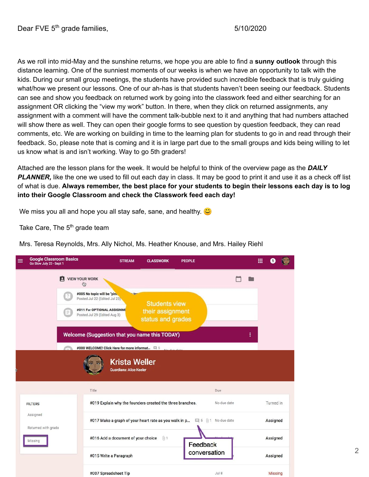As we roll into mid-May and the sunshine returns, we hope you are able to find a **sunny outlook** through this distance learning. One of the sunniest moments of our weeks is when we have an opportunity to talk with the kids. During our small group meetings, the students have provided such incredible feedback that is truly guiding what/how we present our lessons. One of our ah-has is that students haven't been seeing our feedback. Students can see and show you feedback on returned work by going into the classwork feed and either searching for an assignment OR clicking the "view my work" button. In there, when they click on returned assignments, any assignment with a comment will have the comment talk-bubble next to it and anything that had numbers attached will show there as well. They can open their google forms to see question by question feedback, they can read comments, etc. We are working on building in time to the learning plan for students to go in and read through their feedback. So, please note that is coming and it is in large part due to the small groups and kids being willing to let us know what is and isn't working. Way to go 5th graders!

Attached are the lesson plans for the week. It would be helpful to think of the overview page as the *DAILY*  **PLANNER**, like the one we used to fill out each day in class. It may be good to print it and use it as a check off list of what is due. **Always remember, the best place for your students to begin their lessons each day is to log into their Google Classroom and check the Classwork feed each day!**

We miss you all and hope you all stay safe, sane, and healthy.  $\bigcirc$ 

Take Care, The 5<sup>th</sup> grade team

Mrs. Teresa Reynolds, Mrs. Ally Nichol, Ms. Heather Knouse, and Mrs. Hailey Riehl

| <b>Google Classroom Basics</b><br>Go Slow July 23 - Sept 1 | <b>STREAM</b>                                                        | <b>CLASSWORK</b><br><b>PEOPLE</b>                                                |              | ₩ |           |  |
|------------------------------------------------------------|----------------------------------------------------------------------|----------------------------------------------------------------------------------|--------------|---|-----------|--|
| A                                                          | <b>VIEW YOUR WORK</b><br>⊕                                           |                                                                                  |              |   |           |  |
| $\gamma$                                                   | #005 No topic will be "pini.<br>Posted Jul 22 (Edited Jul 23)        | to:<br><b>Students view</b>                                                      |              |   |           |  |
| e                                                          | #011 For OPTIONAL ASSIGNME<br>Posted Jul 29 (Edited Aug 3)           | their assignment<br>status and grades                                            |              |   |           |  |
|                                                            | Welcome (Suggestion that you name this TODAY)                        |                                                                                  |              | ፧ |           |  |
|                                                            | #000 WELCOME! Click Here for more informat $\qquad \qquad \Box \;$ 5 | Ata dua data                                                                     |              |   |           |  |
|                                                            | <b>Krista Weller</b><br><b>Guardians: Alice Keeler</b><br>Title      |                                                                                  | Due          |   |           |  |
| <b>FILTERS</b>                                             |                                                                      | #019 Explain why the founders created the three branches.                        | No due date  |   | Turned in |  |
| Assigned<br>Returned with grade                            |                                                                      | #017 Make a graph of your heart rate as you walk in p $\Box$ 5 (i) 1 No due date |              |   | Assigned  |  |
| Missing                                                    | #016 Add a document of your choice                                   | $[0]$ 1<br>Feedback                                                              |              |   | Assigned  |  |
|                                                            | #015 Write a Paragraph                                               |                                                                                  | conversation |   |           |  |
|                                                            |                                                                      |                                                                                  |              |   | Assigned  |  |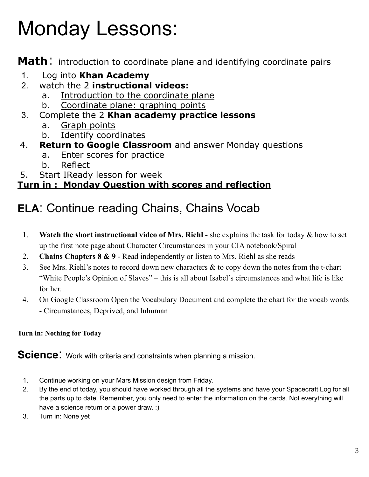# Monday Lessons:

**Math**: introduction to coordinate plane and identifying coordinate pairs

- 1. Log into **Khan Academy**
- 2. watch the 2 **instructional videos:**
	- a. Introduction to the coordinate plane
	- b. Coordinate plane: graphing points
- 3. Complete the 2 **Khan academy practice lessons**
	- a. Graph points
	- b. Identify coordinates
- 4. **Return to Google Classroom** and answer Monday questions
	- a. Enter scores for practice
	- b. Reflect
- 5. Start IReady lesson for week

## **Turn in : Monday Question with scores and reflection**

# **ELA**: Continue reading Chains, Chains Vocab

- 1. **Watch the short instructional video of Mrs. Riehl -** she explains the task for today & how to set up the first note page about Character Circumstances in your CIA notebook/Spiral
- 2. **Chains Chapters 8 & 9** Read independently or listen to Mrs. Riehl as she reads
- 3. See Mrs. Riehl's notes to record down new characters & to copy down the notes from the t-chart "White People's Opinion of Slaves" – this is all about Isabel's circumstances and what life is like for her.
- 4. On Google Classroom Open the Vocabulary Document and complete the chart for the vocab words - Circumstances, Deprived, and Inhuman

#### **Turn in: Nothing for Today**

**Science:** Work with criteria and constraints when planning a mission.

- 1. Continue working on your Mars Mission design from Friday.
- 2. By the end of today, you should have worked through all the systems and have your Spacecraft Log for all the parts up to date. Remember, you only need to enter the information on the cards. Not everything will have a science return or a power draw. :)
- 3. Turn in: None yet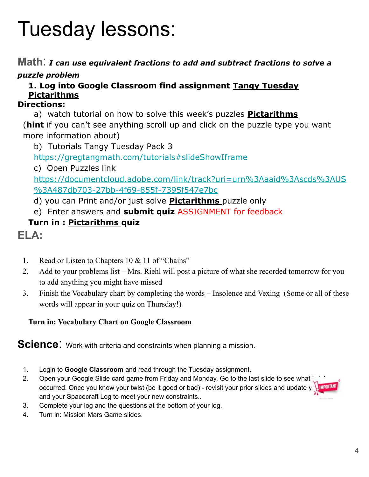# Tuesday lessons:

**Math**: *I can use equivalent fractions to add and subtract fractions to solve a puzzle problem* 

### **1. Log into Google Classroom find assignment Tangy Tuesday Pictarithms**

#### **Directions:**

a) watch tutorial on how to solve this week's puzzles **Pictarithms**

(**hint** if you can't see anything scroll up and click on the puzzle type you want more information about)

b) Tutorials Tangy Tuesday Pack 3

<https://gregtangmath.com/tutorials#slideShowIframe>

c) Open Puzzles link

[https://documentcloud.adobe.com/link/track?uri=urn%3Aaaid%3Ascds%3AUS](https://documentcloud.adobe.com/link/track?uri=urn%3Aaaid%3Ascds%3AUS%3A487db703-27bb-4f69-855f-7395f547e7bc) [%3A487db703-27bb-4f69-855f-7395f547e7bc](https://documentcloud.adobe.com/link/track?uri=urn%3Aaaid%3Ascds%3AUS%3A487db703-27bb-4f69-855f-7395f547e7bc)

- d) you can Print and/or just solve **Pictarithms** puzzle only
- e) Enter answers and **submit quiz** ASSIGNMENT for feedback

### **Turn in : Pictarithms quiz**

**ELA:**

- 1. Read or Listen to Chapters 10 & 11 of "Chains"
- 2. Add to your problems list Mrs. Riehl will post a picture of what she recorded tomorrow for you to add anything you might have missed
- 3. Finish the Vocabulary chart by completing the words Insolence and Vexing (Some or all of these words will appear in your quiz on Thursday!)

#### **Turn in: Vocabulary Chart on Google Classroom**

**Science:** Work with criteria and constraints when planning a mission.

- 1. Login to **Google Classroom** and read through the Tuesday assignment.
- 2. Open your Google Slide card game from Friday and Monday, Go to the last slide to see what occurred. Once you know your twist (be it good or bad) - revisit your prior slides and update your means and your Spacecraft Log to meet your new constraints..
- 3. Complete your log and the questions at the bottom of your log.
- 4. Turn in: Mission Mars Game slides.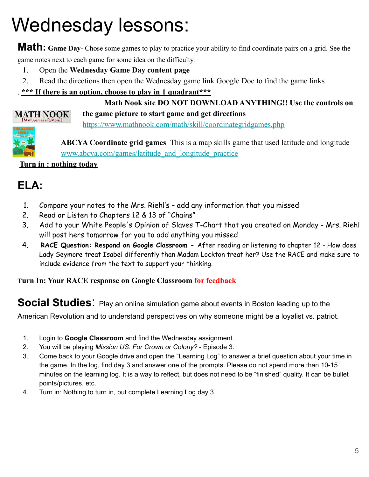# Wednesday lessons:

**Math: Game Day-** Chose some games to play to practice your ability to find coordinate pairs on a grid. See the game notes next to each game for some idea on the difficulty.

- 1. Open the **Wednesday Game Day content page**
- 2. Read the directions then open the Wednesday game link Google Doc to find the game links

#### . **\*\*\* If there is an option, choose to play in 1 quadrant\*\*\***

#### **Math Nook site DO NOT DOWNLOAD ANYTHING!! Use the controls on the game picture to start game and get directions** <https://www.mathnook.com/math/skill/coordinategridgames.php>



**MATH NOOK** Math Games and More.

> **ABCYA Coordinate grid games** This is a map skills game that used latitude and longitude [www.abcya.com/games/latitude\\_and\\_longitude\\_practice](http://www.abcya.com/games/latitude_and_longitude_practice)

**Turn in : nothing today**

## **ELA:**

- 1. Compare your notes to the Mrs. Riehl's add any information that you missed
- 2. Read or Listen to Chapters 12 & 13 of "Chains"
- 3. Add to your White People's Opinion of Slaves T-Chart that you created on Monday Mrs. Riehl will post hers tomorrow for you to add anything you missed
- 4. **RACE Question: Respond on Google Classroom** After reading or listening to chapter 12 How does Lady Seymore treat Isabel differently than Madam Lockton treat her? Use the RACE and make sure to include evidence from the text to support your thinking.

#### **Turn In: Your RACE response on Google Classroom for feedback**

### **Social Studies:** Play an online simulation game about events in Boston leading up to the

American Revolution and to understand perspectives on why someone might be a loyalist vs. patriot.

- 1. Login to **Google Classroom** and find the Wednesday assignment.
- 2. You will be playing *Mission US: For Crown or Colony?* Episode 3.
- 3. Come back to your Google drive and open the "Learning Log" to answer a brief question about your time in the game. In the log, find day 3 and answer one of the prompts. Please do not spend more than 10-15 minutes on the learning log. It is a way to reflect, but does not need to be "finished" quality. It can be bullet points/pictures, etc.
- 4. Turn in: Nothing to turn in, but complete Learning Log day 3.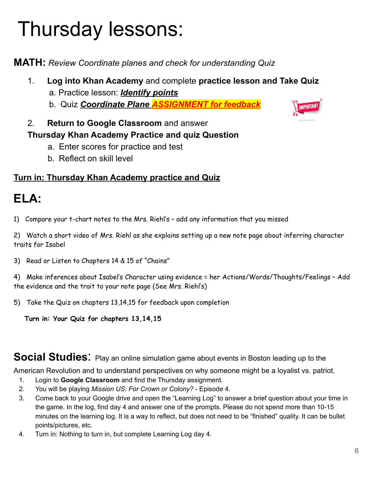# Thursday lessons:

**MATH:** *Review Coordinate planes and check for understanding Quiz*

- 1. **Log into Khan Academy** and complete **practice lesson and Take Quiz**  a. Practice lesson: *Identify points*
	- b. Quiz *Coordinate Plane ASSIGNMENT for feedback*
- 2. **Return to Google Classroom** and answer

### **Thursday Khan Academy Practice and quiz Question**

- a. Enter scores for practice and test
- b. Reflect on skill level

### **Turn in: Thursday Khan Academy practice and Quiz**

# **ELA:**

1) Compare your t-chart notes to the Mrs. Riehl's – add any information that you missed

2) Watch a short video of Mrs. Riehl as she explains setting up a new note page about inferring character traits for Isabel

3) Read or Listen to Chapters 14 & 15 of "Chains"

4) Make inferences about Isabel's Character using evidence = her Actions/Words/Thoughts/Feelings – Add the evidence and the trait to your note page (See Mrs. Riehl's)

5) Take the Quiz on chapters 13,14,15 for feedback upon completion

**Turn in: Your Quiz for chapters 13,14,15**

### **Social Studies:** Play an online simulation game about events in Boston leading up to the

American Revolution and to understand perspectives on why someone might be a loyalist vs. patriot.

- 1. Login to **Google Classroom** and find the Thursday assignment.
- 2. You will be playing *Mission US: For Crown or Colony?* Episode 4.
- 3. Come back to your Google drive and open the "Learning Log" to answer a brief question about your time in the game. In the log, find day 4 and answer one of the prompts. Please do not spend more than 10-15 minutes on the learning log. It is a way to reflect, but does not need to be "finished" quality. It can be bullet points/pictures, etc.
- 4. Turn in: Nothing to turn in, but complete Learning Log day 4.

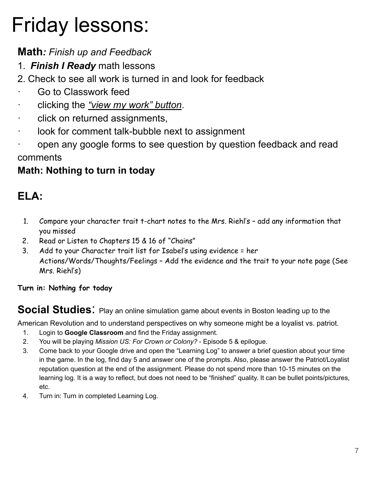# Friday lessons:

## **Math***: Finish up and Feedback*

- 1. *Finish I Ready* math lessons
- 2. Check to see all work is turned in and look for feedback
- Go to Classwork feed
- · clicking the *"view my work" button*.
- click on returned assignments,
- · look for comment talk-bubble next to assignment
- · open any google forms to see question by question feedback and read comments

## **Math: Nothing to turn in today**

## **ELA:**

- 1. Compare your character trait t-chart notes to the Mrs. Riehl's add any information that you missed
- 2. Read or Listen to Chapters 15 & 16 of "Chains"
- 3. Add to your Character trait list for Isabel's using evidence = her Actions/Words/Thoughts/Feelings – Add the evidence and the trait to your note page (See Mrs. Riehl's)

**Turn in: Nothing for today**

**Social Studies:** Play an online simulation game about events in Boston leading up to the

American Revolution and to understand perspectives on why someone might be a loyalist vs. patriot.

- 1. Login to **Google Classroom** and find the Friday assignment.
- 2. You will be playing *Mission US: For Crown or Colony?* Episode 5 & epilogue.
- 3. Come back to your Google drive and open the "Learning Log" to answer a brief question about your time in the game. In the log, find day 5 and answer one of the prompts. Also, please answer the Patriot/Loyalist reputation question at the end of the assignment. Please do not spend more than 10-15 minutes on the learning log. It is a way to reflect, but does not need to be "finished" quality. It can be bullet points/pictures, etc.
- 4. Turn in: Turn in completed Learning Log.